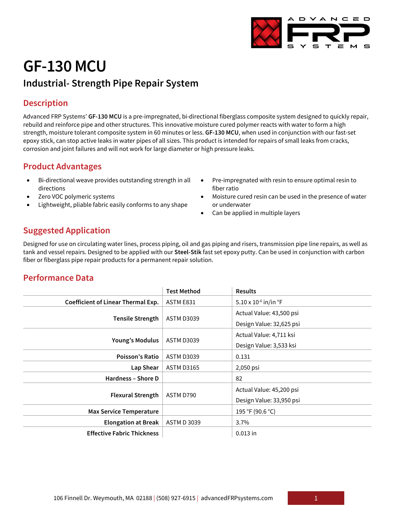

# **GF-130 MCU**

## **Industrial- Strength Pipe Repair System**

#### **Description**

Advanced FRP Systems' **GF-130 MCU** is a pre-impregnated, bi-directional fiberglass composite system designed to quickly repair, rebuild and reinforce pipe and other structures. This innovative moisture cured polymer reacts with water to form a high strength, moisture tolerant composite system in 60 minutes or less. **GF-130 MCU**, when used in conjunction with our fast-set epoxy stick, can stop active leaks in water pipes of all sizes. This product is intended for repairs of small leaks from cracks, corrosion and joint failures and will not work for large diameter or high pressure leaks.

#### **Product Advantages**

- Bi-directional weave provides outstanding strength in all directions
- Zero VOC polymeric systems
- Lightweight, pliable fabric easily conforms to any shape
- Pre-impregnated with resin to ensure optimal resin to fiber ratio
- Moisture cured resin can be used in the presence of water or underwater
- Can be applied in multiple layers

#### **Suggested Application**

Designed for use on circulating water lines, process piping, oil and gas piping and risers, transmission pipe line repairs, as well as tank and vessel repairs. Designed to be applied with our **Steel-Stik** fast set epoxy putty. Can be used in conjunction with carbon fiber or fiberglass pipe repair products for a permanent repair solution.

#### **Performance Data**

|                                           | <b>Test Method</b> | <b>Results</b>                 |
|-------------------------------------------|--------------------|--------------------------------|
| <b>Coefficient of Linear Thermal Exp.</b> | ASTM E831          | $5.10 \times 10^{-6}$ in/in °F |
| <b>Tensile Strength</b>                   | <b>ASTM D3039</b>  | Actual Value: 43,500 psi       |
|                                           |                    | Design Value: 32,625 psi       |
| <b>Young's Modulus</b>                    | <b>ASTM D3039</b>  | Actual Value: 4,711 ksi        |
|                                           |                    | Design Value: 3,533 ksi        |
| <b>Poisson's Ratio</b>                    | <b>ASTM D3039</b>  | 0.131                          |
| Lap Shear                                 | <b>ASTM D3165</b>  | 2,050 psi                      |
| Hardness - Shore D                        |                    | 82                             |
| <b>Flexural Strength</b>                  | ASTM D790          | Actual Value: 45,200 psi       |
|                                           |                    | Design Value: 33,950 psi       |
| <b>Max Service Temperature</b>            |                    | 195 °F (90.6 °C)               |
| <b>Elongation at Break</b>                | <b>ASTM D 3039</b> | $3.7\%$                        |
| <b>Effective Fabric Thickness</b>         |                    | $0.013$ in                     |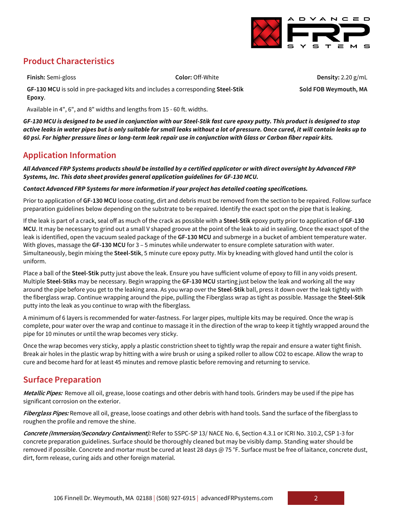

### **Product Characteristics**

**Finish:** Semi-gloss **Color:** Off-White **Density:** 2.20 g/mL **Sold FOB Weymouth, MA**

**GF-130 MCU** is sold in pre-packaged kits and includes a corresponding **Steel-Stik Epoxy**.

Available in 4", 6", and 8" widths and lengths from 15 - 60 ft. widths.

*GF-130 MCU is designed to be used in conjunction with our Steel-Stik fast cure epoxy putty. This product is designed to stop active leaks in water pipes but is only suitable for small leaks without a lot of pressure. Once cured, it will contain leaks up to 60 psi. For higher pressure lines or long-term leak repair use in conjunction with Glass or Carbon fiber repair kits.*

#### **Application Information**

*All Advanced FRP Systems products should be installed by a certified applicator or with direct oversight by Advanced FRP Systems, Inc. This data sheet provides general application guidelines for GF-130 MCU.*

#### *Contact Advanced FRP Systems for more information if your project has detailed coating specifications.*

Prior to application of **GF-130 MCU** loose coating, dirt and debris must be removed from the section to be repaired. Follow surface preparation guidelines below depending on the substrate to be repaired. Identify the exact spot on the pipe that is leaking.

If the leak is part of a crack, seal off as much of the crack as possible with a **Steel-Stik** epoxy putty prior to application of **GF-130 MCU**. It may be necessary to grind out a small V shaped groove at the point of the leak to aid in sealing. Once the exact spot of the leak is identified, open the vacuum sealed package of the **GF-130 MCU** and submerge in a bucket of ambient temperature water. With gloves, massage the **GF-130 MCU** for 3 – 5 minutes while underwater to ensure complete saturation with water. Simultaneously, begin mixing the **Steel-Stik**, 5 minute cure epoxy putty. Mix by kneading with gloved hand until the color is uniform.

Place a ball of the **Steel-Stik** putty just above the leak. Ensure you have sufficient volume of epoxy to fill in any voids present. Multiple **Steel-Stiks** may be necessary. Begin wrapping the **GF-130 MCU** starting just below the leak and working all the way around the pipe before you get to the leaking area. As you wrap over the **Steel-Stik** ball, press it down over the leak tightly with the fiberglass wrap. Continue wrapping around the pipe, pulling the Fiberglass wrap as tight as possible. Massage the **Steel-Stik** putty into the leak as you continue to wrap with the fiberglass.

A minimum of 6 layers is recommended for water-fastness. For larger pipes, multiple kits may be required. Once the wrap is complete, pour water over the wrap and continue to massage it in the direction of the wrap to keep it tightly wrapped around the pipe for 10 minutes or until the wrap becomes very sticky.

Once the wrap becomes very sticky, apply a plastic constriction sheet to tightly wrap the repair and ensure a water tight finish. Break air holes in the plastic wrap by hitting with a wire brush or using a spiked roller to allow CO2 to escape. Allow the wrap to cure and become hard for at least 45 minutes and remove plastic before removing and returning to service.

#### **Surface Preparation**

**Metallic Pipes:** Remove all oil, grease, loose coatings and other debris with hand tools. Grinders may be used if the pipe has significant corrosion on the exterior.

**Fiberglass Pipes:** Remove all oil, grease, loose coatings and other debris with hand tools. Sand the surface of the fiberglass to roughen the profile and remove the shine.

**Concrete (Immersion/Secondary Containment):** Refer to SSPC-SP 13/ NACE No. 6, Section 4.3.1 or ICRI No. 310.2, CSP 1-3 for concrete preparation guidelines. Surface should be thoroughly cleaned but may be visibly damp. Standing water should be removed if possible. Concrete and mortar must be cured at least 28 days @ 75 °F. Surface must be free of laitance, concrete dust, dirt, form release, curing aids and other foreign material.